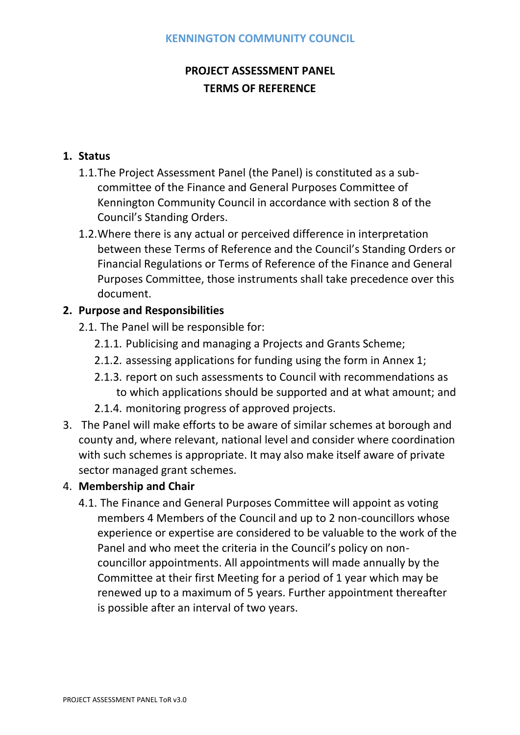# **PROJECT ASSESSMENT PANEL TERMS OF REFERENCE**

## **1. Status**

- 1.1.The Project Assessment Panel (the Panel) is constituted as a subcommittee of the Finance and General Purposes Committee of Kennington Community Council in accordance with section 8 of the Council's Standing Orders.
- 1.2.Where there is any actual or perceived difference in interpretation between these Terms of Reference and the Council's Standing Orders or Financial Regulations or Terms of Reference of the Finance and General Purposes Committee, those instruments shall take precedence over this document.

## **2. Purpose and Responsibilities**

- 2.1. The Panel will be responsible for:
	- 2.1.1. Publicising and managing a Projects and Grants Scheme;
	- 2.1.2. assessing applications for funding using the form in Annex 1;
	- 2.1.3. report on such assessments to Council with recommendations as to which applications should be supported and at what amount; and
	- 2.1.4. monitoring progress of approved projects.
- 3. The Panel will make efforts to be aware of similar schemes at borough and county and, where relevant, national level and consider where coordination with such schemes is appropriate. It may also make itself aware of private sector managed grant schemes.

### 4. **Membership and Chair**

4.1. The Finance and General Purposes Committee will appoint as voting members 4 Members of the Council and up to 2 non-councillors whose experience or expertise are considered to be valuable to the work of the Panel and who meet the criteria in the Council's policy on noncouncillor appointments. All appointments will made annually by the Committee at their first Meeting for a period of 1 year which may be renewed up to a maximum of 5 years. Further appointment thereafter is possible after an interval of two years.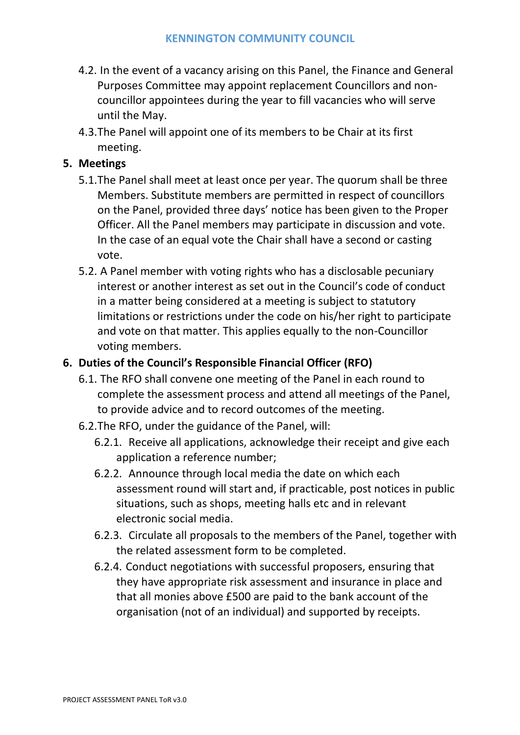- 4.2. In the event of a vacancy arising on this Panel, the Finance and General Purposes Committee may appoint replacement Councillors and noncouncillor appointees during the year to fill vacancies who will serve until the May.
- 4.3.The Panel will appoint one of its members to be Chair at its first meeting.

## **5. Meetings**

- 5.1.The Panel shall meet at least once per year. The quorum shall be three Members. Substitute members are permitted in respect of councillors on the Panel, provided three days' notice has been given to the Proper Officer. All the Panel members may participate in discussion and vote. In the case of an equal vote the Chair shall have a second or casting vote.
- 5.2. A Panel member with voting rights who has a disclosable pecuniary interest or another interest as set out in the Council's code of conduct in a matter being considered at a meeting is subject to statutory limitations or restrictions under the code on his/her right to participate and vote on that matter. This applies equally to the non-Councillor voting members.

## **6. Duties of the Council's Responsible Financial Officer (RFO)**

- 6.1. The RFO shall convene one meeting of the Panel in each round to complete the assessment process and attend all meetings of the Panel, to provide advice and to record outcomes of the meeting.
- 6.2.The RFO, under the guidance of the Panel, will:
	- 6.2.1. Receive all applications, acknowledge their receipt and give each application a reference number;
	- 6.2.2. Announce through local media the date on which each assessment round will start and, if practicable, post notices in public situations, such as shops, meeting halls etc and in relevant electronic social media.
	- 6.2.3. Circulate all proposals to the members of the Panel, together with the related assessment form to be completed.
	- 6.2.4. Conduct negotiations with successful proposers, ensuring that they have appropriate risk assessment and insurance in place and that all monies above £500 are paid to the bank account of the organisation (not of an individual) and supported by receipts.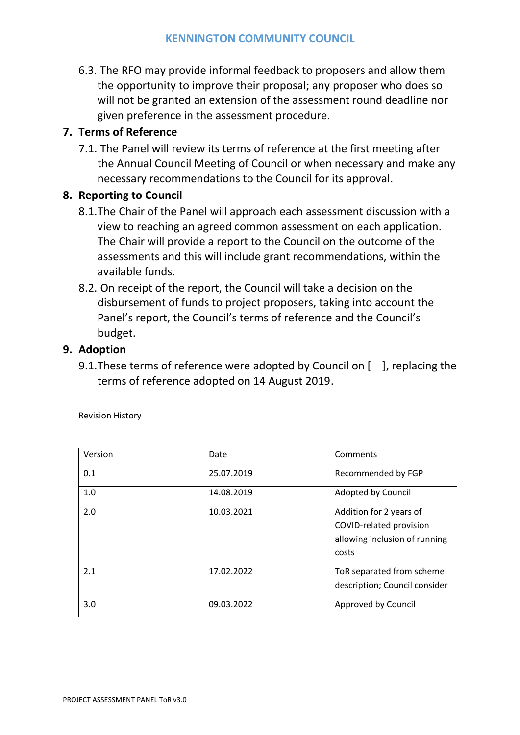6.3. The RFO may provide informal feedback to proposers and allow them the opportunity to improve their proposal; any proposer who does so will not be granted an extension of the assessment round deadline nor given preference in the assessment procedure.

## **7. Terms of Reference**

7.1. The Panel will review its terms of reference at the first meeting after the Annual Council Meeting of Council or when necessary and make any necessary recommendations to the Council for its approval.

### **8. Reporting to Council**

- 8.1.The Chair of the Panel will approach each assessment discussion with a view to reaching an agreed common assessment on each application. The Chair will provide a report to the Council on the outcome of the assessments and this will include grant recommendations, within the available funds.
- 8.2. On receipt of the report, the Council will take a decision on the disbursement of funds to project proposers, taking into account the Panel's report, the Council's terms of reference and the Council's budget.

#### **9. Adoption**

9.1. These terms of reference were adopted by Council on [ ], replacing the terms of reference adopted on 14 August 2019.

| Version | Date       | Comments                                                                                     |
|---------|------------|----------------------------------------------------------------------------------------------|
| 0.1     | 25.07.2019 | Recommended by FGP                                                                           |
| 1.0     | 14.08.2019 | Adopted by Council                                                                           |
| 2.0     | 10.03.2021 | Addition for 2 years of<br>COVID-related provision<br>allowing inclusion of running<br>costs |
| 2.1     | 17.02.2022 | ToR separated from scheme<br>description; Council consider                                   |
| 3.0     | 09.03.2022 | Approved by Council                                                                          |

Revision History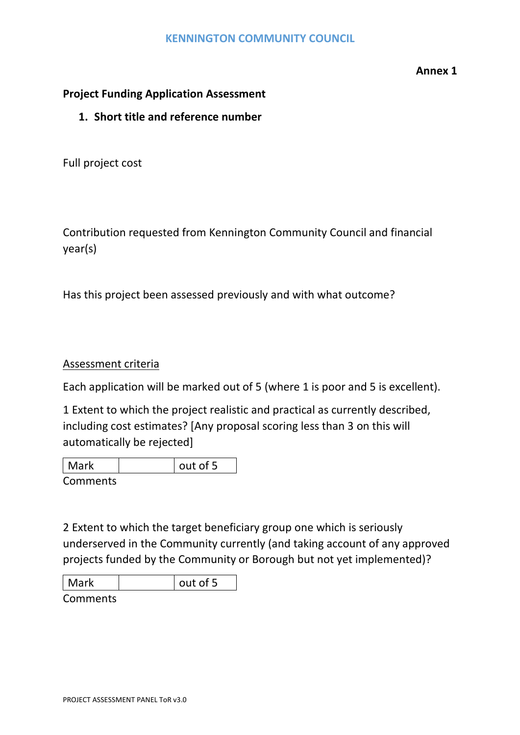#### **Annex 1**

#### **Project Funding Application Assessment**

#### **1. Short title and reference number**

Full project cost

Contribution requested from Kennington Community Council and financial year(s)

Has this project been assessed previously and with what outcome?

#### Assessment criteria

Each application will be marked out of 5 (where 1 is poor and 5 is excellent).

1 Extent to which the project realistic and practical as currently described, including cost estimates? [Any proposal scoring less than 3 on this will automatically be rejected]

| Mark     | l out of 5 |
|----------|------------|
| Comments |            |

2 Extent to which the target beneficiary group one which is seriously underserved in the Community currently (and taking account of any approved projects funded by the Community or Borough but not yet implemented)?

| <b>Mark</b> | out of 5 |
|-------------|----------|
| Comments    |          |